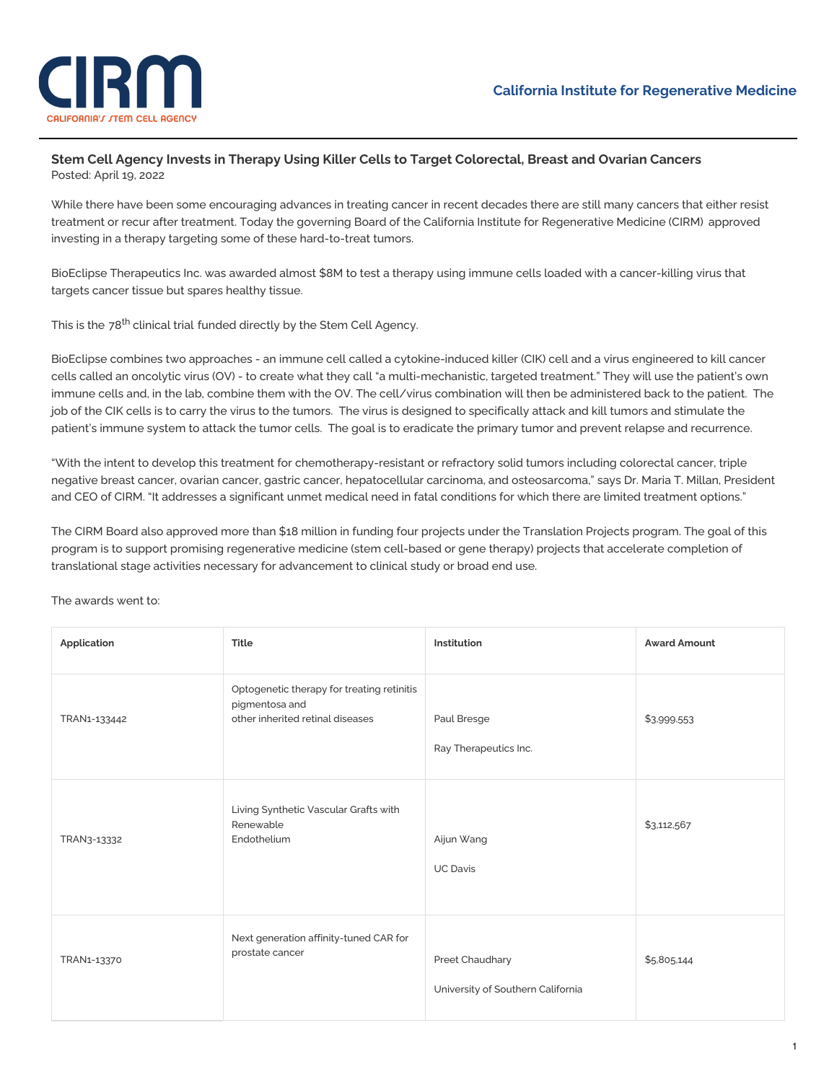

## **Stem Cell Agency Invests in Therapy Using Killer Cells to Target Colorectal, Breast and Ovarian Cancers** Posted: April 19, 2022

While there have been some encouraging advances in treating cancer in recent decades there are still many cancers that either resist treatment or recur after treatment. Today the governing Board of the California Institute for [Regenerative](https://www.cirm.ca.gov/) Medicine (CIRM) approved investing in a therapy targeting some of these hard-to-treat tumors.

BioEclipse Therapeutics Inc. was awarded almost \$8M to test a therapy using immune cells loaded with a cancer-killing virus that targets cancer tissue but spares healthy tissue.

This is the 78<sup>th</sup> [clinical](https://www.cirm.ca.gov/our-impact/funding-clinical-trials) trial funded directly by the Stem Cell Agency.

BioEclipse combines two approaches - an immune cell called a cytokine-induced killer (CIK) cell and a virus engineered to kill cancer cells called an oncolytic virus (OV) - to create what they call "a multi-mechanistic, targeted treatment." They will use the patient's own immune cells and, in the lab, combine them with the OV. The cell/virus combination will then be administered back to the patient. The job of the CIK cells is to carry the virus to the tumors. The virus is designed to specifically attack and kill tumors and stimulate the patient's immune system to attack the tumor cells. The goal is to eradicate the primary tumor and prevent relapse and recurrence.

"With the intent to develop this treatment for chemotherapy-resistant or refractory solid tumors including colorectal cancer, triple negative breast cancer, ovarian cancer, gastric cancer, hepatocellular carcinoma, and osteosarcoma," says Dr. Maria T. Millan, President and CEO of CIRM. "It addresses a significant unmet medical need in fatal conditions for which there are limited treatment options."

The CIRM Board also approved more than \$18 million in funding four projects under the Translation Projects program. The goal of this program is to support promising regenerative medicine (stem cell-based or gene therapy) projects that accelerate completion of translational stage activities necessary for advancement to clinical study or broad end use.

The awards went to:

| Application  | <b>Title</b>                                                                                     | Institution                                          | <b>Award Amount</b> |
|--------------|--------------------------------------------------------------------------------------------------|------------------------------------------------------|---------------------|
| TRAN1-133442 | Optogenetic therapy for treating retinitis<br>pigmentosa and<br>other inherited retinal diseases | Paul Bresge<br>Ray Therapeutics Inc.                 | \$3,999,553         |
| TRAN3-13332  | Living Synthetic Vascular Grafts with<br>Renewable<br>Endothelium                                | Aijun Wang<br><b>UC Davis</b>                        | \$3,112,567         |
| TRAN1-13370  | Next generation affinity-tuned CAR for<br>prostate cancer                                        | Preet Chaudhary<br>University of Southern California | \$5,805,144         |